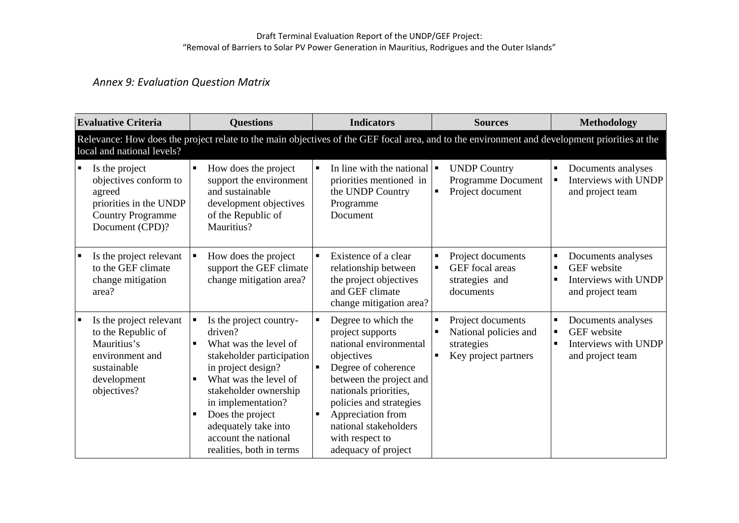# *Annex 9: Evaluation Question Matrix*

| <b>Evaluative Criteria</b>                                                                                                   | <b>Questions</b>                                                                                                                                                                                                                                                                                              | <b>Indicators</b>                                                                                                                                                                                                                                                             | <b>Sources</b>                                                                        | <b>Methodology</b>                                                                                               |
|------------------------------------------------------------------------------------------------------------------------------|---------------------------------------------------------------------------------------------------------------------------------------------------------------------------------------------------------------------------------------------------------------------------------------------------------------|-------------------------------------------------------------------------------------------------------------------------------------------------------------------------------------------------------------------------------------------------------------------------------|---------------------------------------------------------------------------------------|------------------------------------------------------------------------------------------------------------------|
| local and national levels?                                                                                                   | Relevance: How does the project relate to the main objectives of the GEF focal area, and to the environment and development priorities at the                                                                                                                                                                 |                                                                                                                                                                                                                                                                               |                                                                                       |                                                                                                                  |
| Is the project<br>objectives conform to<br>agreed<br>priorities in the UNDP<br><b>Country Programme</b><br>Document (CPD)?   | How does the project<br>$\blacksquare$<br>support the environment<br>and sustainable<br>development objectives<br>of the Republic of<br>Mauritius?                                                                                                                                                            | In line with the national $\blacksquare$<br>priorities mentioned in<br>the UNDP Country<br>Programme<br>Document                                                                                                                                                              | <b>UNDP Country</b><br>Programme Document<br>Project document<br>$\blacksquare$       | Documents analyses<br>Е<br>Interviews with UNDP<br>п<br>and project team                                         |
| Is the project relevant<br>to the GEF climate<br>change mitigation<br>area?                                                  | How does the project<br>$\blacksquare$<br>support the GEF climate<br>change mitigation area?                                                                                                                                                                                                                  | Existence of a clear<br>relationship between<br>the project objectives<br>and GEF climate<br>change mitigation area?                                                                                                                                                          | Project documents<br>GEF focal areas<br>strategies and<br>documents                   | Documents analyses<br>Е<br><b>GEF</b> website<br>п<br>Interviews with UNDP<br>п<br>and project team              |
| Is the project relevant<br>to the Republic of<br>Mauritius's<br>environment and<br>sustainable<br>development<br>objectives? | Is the project country-<br>driven?<br>What was the level of<br>stakeholder participation<br>in project design?<br>What was the level of<br>$\blacksquare$<br>stakeholder ownership<br>in implementation?<br>Does the project<br>٠<br>adequately take into<br>account the national<br>realities, both in terms | Degree to which the<br>project supports<br>national environmental<br>objectives<br>Degree of coherence<br>between the project and<br>nationals priorities,<br>policies and strategies<br>Appreciation from<br>national stakeholders<br>with respect to<br>adequacy of project | Project documents<br>National policies and<br>strategies<br>Key project partners<br>п | Documents analyses<br>П<br><b>GEF</b> website<br>$\blacksquare$<br>Interviews with UNDP<br>п<br>and project team |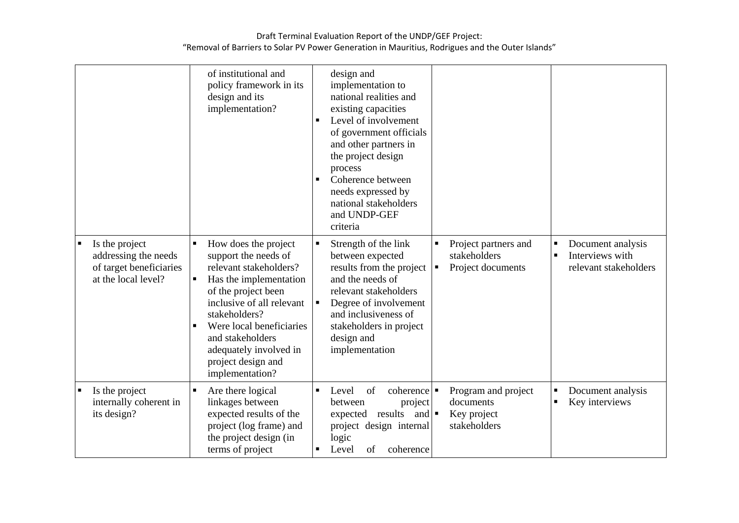|                                                                                          | of institutional and<br>policy framework in its<br>design and its<br>implementation?                                                                                                                                                                                                          | design and<br>implementation to<br>national realities and<br>existing capacities<br>Level of involvement<br>of government officials<br>and other partners in<br>the project design<br>process<br>Coherence between<br>needs expressed by<br>national stakeholders<br>and UNDP-GEF<br>criteria |                                                                             |                                                                                      |
|------------------------------------------------------------------------------------------|-----------------------------------------------------------------------------------------------------------------------------------------------------------------------------------------------------------------------------------------------------------------------------------------------|-----------------------------------------------------------------------------------------------------------------------------------------------------------------------------------------------------------------------------------------------------------------------------------------------|-----------------------------------------------------------------------------|--------------------------------------------------------------------------------------|
| Is the project<br>addressing the needs<br>of target beneficiaries<br>at the local level? | How does the project<br>٠<br>support the needs of<br>relevant stakeholders?<br>Has the implementation<br>of the project been<br>inclusive of all relevant<br>stakeholders?<br>Were local beneficiaries<br>and stakeholders<br>adequately involved in<br>project design and<br>implementation? | Strength of the link<br>between expected<br>results from the project<br>and the needs of<br>relevant stakeholders<br>Degree of involvement<br>$\blacksquare$<br>and inclusiveness of<br>stakeholders in project<br>design and<br>implementation                                               | Project partners and<br>stakeholders<br>Project documents<br>$\blacksquare$ | Document analysis<br>п<br>Interviews with<br>$\blacksquare$<br>relevant stakeholders |
| Is the project<br>internally coherent in<br>its design?                                  | Are there logical<br>linkages between<br>expected results of the<br>project (log frame) and<br>the project design (in<br>terms of project                                                                                                                                                     | of<br>coherence<br>Level<br>$\blacksquare$<br>project<br>between<br>results and $\blacksquare$<br>expected<br>project design internal<br>logic<br>Level<br>of<br>coherence                                                                                                                    | Program and project<br>documents<br>Key project<br>stakeholders             | Document analysis<br>$\blacksquare$<br>Key interviews<br>п                           |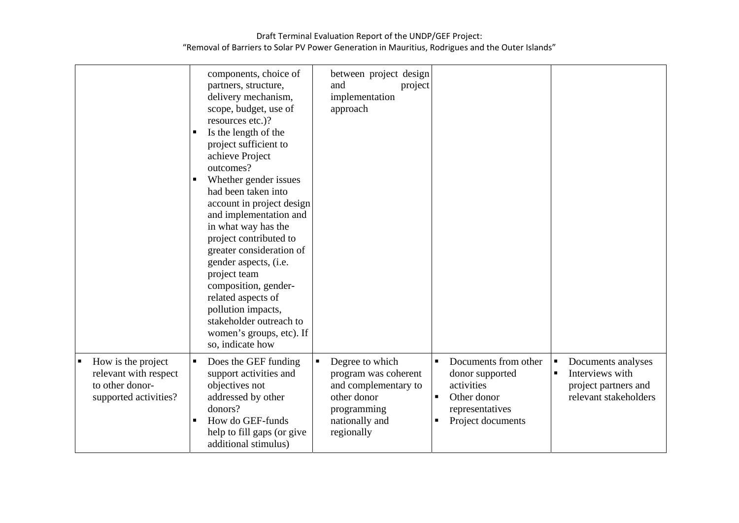|   |                                                                                         | п                   | components, choice of<br>partners, structure,<br>delivery mechanism,<br>scope, budget, use of<br>resources etc.)?<br>Is the length of the<br>project sufficient to<br>achieve Project<br>outcomes?<br>Whether gender issues<br>had been taken into<br>account in project design<br>and implementation and<br>in what way has the<br>project contributed to<br>greater consideration of<br>gender aspects, (i.e.<br>project team<br>composition, gender-<br>related aspects of<br>pollution impacts,<br>stakeholder outreach to<br>women's groups, etc). If | between project design<br>and<br>project<br>implementation<br>approach                                                        |                                                                                                                   |                     |                                                                                        |
|---|-----------------------------------------------------------------------------------------|---------------------|------------------------------------------------------------------------------------------------------------------------------------------------------------------------------------------------------------------------------------------------------------------------------------------------------------------------------------------------------------------------------------------------------------------------------------------------------------------------------------------------------------------------------------------------------------|-------------------------------------------------------------------------------------------------------------------------------|-------------------------------------------------------------------------------------------------------------------|---------------------|----------------------------------------------------------------------------------------|
|   |                                                                                         |                     | so, indicate how                                                                                                                                                                                                                                                                                                                                                                                                                                                                                                                                           |                                                                                                                               |                                                                                                                   |                     |                                                                                        |
| ٠ | How is the project<br>relevant with respect<br>to other donor-<br>supported activities? | $\blacksquare$<br>п | Does the GEF funding<br>support activities and<br>objectives not<br>addressed by other<br>donors?<br>How do GEF-funds<br>help to fill gaps (or give<br>additional stimulus)                                                                                                                                                                                                                                                                                                                                                                                | Degree to which<br>program was coherent<br>and complementary to<br>other donor<br>programming<br>nationally and<br>regionally | Documents from other<br>donor supported<br>activities<br>Other donor<br>п<br>representatives<br>Project documents | Е<br>$\blacksquare$ | Documents analyses<br>Interviews with<br>project partners and<br>relevant stakeholders |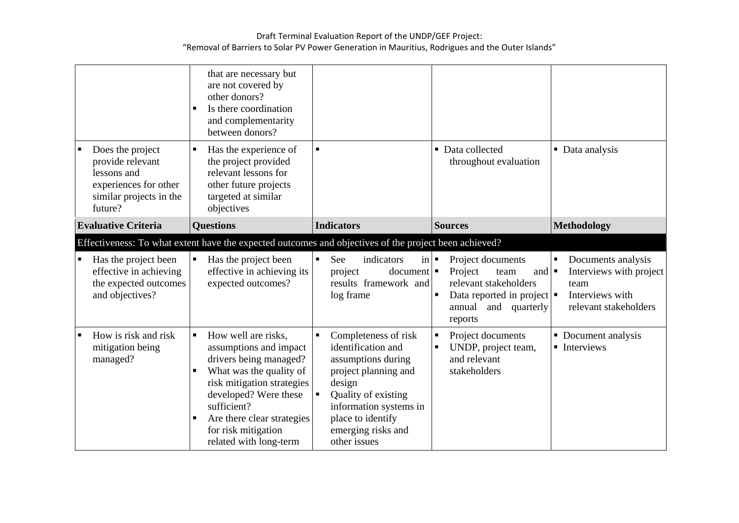|                                                                                                                    | that are necessary but<br>are not covered by<br>other donors?<br>Is there coordination<br>$\blacksquare$<br>and complementarity<br>between donors?                                                                                                                                  |                                                                                                                                                                                                                                  |                                                                                                                                                                                        |                                                                                                        |
|--------------------------------------------------------------------------------------------------------------------|-------------------------------------------------------------------------------------------------------------------------------------------------------------------------------------------------------------------------------------------------------------------------------------|----------------------------------------------------------------------------------------------------------------------------------------------------------------------------------------------------------------------------------|----------------------------------------------------------------------------------------------------------------------------------------------------------------------------------------|--------------------------------------------------------------------------------------------------------|
| Does the project<br>provide relevant<br>lessons and<br>experiences for other<br>similar projects in the<br>future? | Has the experience of<br>$\blacksquare$<br>the project provided<br>relevant lessons for<br>other future projects<br>targeted at similar<br>objectives                                                                                                                               | $\blacksquare$                                                                                                                                                                                                                   | • Data collected<br>throughout evaluation                                                                                                                                              | • Data analysis                                                                                        |
| <b>Evaluative Criteria</b>                                                                                         | <b>Questions</b>                                                                                                                                                                                                                                                                    | <b>Indicators</b>                                                                                                                                                                                                                | <b>Sources</b>                                                                                                                                                                         | Methodology                                                                                            |
|                                                                                                                    | Effectiveness: To what extent have the expected outcomes and objectives of the project been achieved?                                                                                                                                                                               |                                                                                                                                                                                                                                  |                                                                                                                                                                                        |                                                                                                        |
| Has the project been<br>effective in achieving<br>the expected outcomes<br>and objectives?                         | Has the project been<br>$\blacksquare$<br>effective in achieving its<br>expected outcomes?                                                                                                                                                                                          | See<br>indicators<br>in<br>$document \nightharpoonup$<br>project<br>results framework and<br>log frame                                                                                                                           | Project documents<br>$\blacksquare$<br>Project<br>and $\blacksquare$<br>team<br>relevant stakeholders<br>Data reported in project $\blacksquare$<br>annual<br>and quarterly<br>reports | Documents analysis<br>Е<br>Interviews with project<br>team<br>Interviews with<br>relevant stakeholders |
| How is risk and risk<br>mitigation being<br>managed?                                                               | How well are risks,<br>$\blacksquare$<br>assumptions and impact<br>drivers being managed?<br>What was the quality of<br>п<br>risk mitigation strategies<br>developed? Were these<br>sufficient?<br>Are there clear strategies<br>٠<br>for risk mitigation<br>related with long-term | Completeness of risk<br>$\blacksquare$<br>identification and<br>assumptions during<br>project planning and<br>design<br>Quality of existing<br>information systems in<br>place to identify<br>emerging risks and<br>other issues | Project documents<br>п<br>UNDP, project team,<br>and relevant<br>stakeholders                                                                                                          | • Document analysis<br>$\blacksquare$ Interviews                                                       |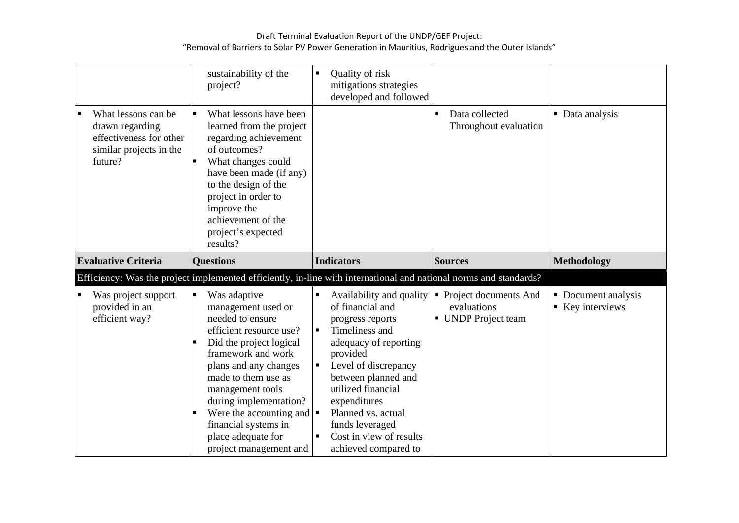|                                                                                                         | sustainability of the<br>project?                                                                                                                                                                                                                                                                                                                                                             | Quality of risk<br>٠<br>mitigations strategies<br>developed and followed                                                                                                                                                                                                                                                   |                                                               |                                         |
|---------------------------------------------------------------------------------------------------------|-----------------------------------------------------------------------------------------------------------------------------------------------------------------------------------------------------------------------------------------------------------------------------------------------------------------------------------------------------------------------------------------------|----------------------------------------------------------------------------------------------------------------------------------------------------------------------------------------------------------------------------------------------------------------------------------------------------------------------------|---------------------------------------------------------------|-----------------------------------------|
| What lessons can be<br>drawn regarding<br>effectiveness for other<br>similar projects in the<br>future? | What lessons have been<br>$\blacksquare$<br>learned from the project<br>regarding achievement<br>of outcomes?<br>What changes could<br>have been made (if any)<br>to the design of the<br>project in order to<br>improve the<br>achievement of the<br>project's expected<br>results?                                                                                                          |                                                                                                                                                                                                                                                                                                                            | Data collected<br>Throughout evaluation                       | • Data analysis                         |
| <b>Evaluative Criteria</b>                                                                              | <b>Questions</b>                                                                                                                                                                                                                                                                                                                                                                              | <b>Indicators</b>                                                                                                                                                                                                                                                                                                          | <b>Sources</b>                                                | <b>Methodology</b>                      |
|                                                                                                         | Efficiency: Was the project implemented efficiently, in-line with international and national norms and standards?                                                                                                                                                                                                                                                                             |                                                                                                                                                                                                                                                                                                                            |                                                               |                                         |
| Was project support<br>provided in an<br>efficient way?                                                 | Was adaptive<br>$\blacksquare$<br>management used or<br>needed to ensure<br>efficient resource use?<br>Did the project logical<br>framework and work<br>plans and any changes<br>made to them use as<br>management tools<br>during implementation?<br>Were the accounting and $\vert \bullet \vert$<br>$\blacksquare$<br>financial systems in<br>place adequate for<br>project management and | Availability and quality<br>of financial and<br>progress reports<br>Timeliness and<br>$\blacksquare$<br>adequacy of reporting<br>provided<br>Level of discrepancy<br>between planned and<br>utilized financial<br>expenditures<br>Planned vs. actual<br>funds leveraged<br>Cost in view of results<br>achieved compared to | • Project documents And<br>evaluations<br>• UNDP Project team | • Document analysis<br>■ Key interviews |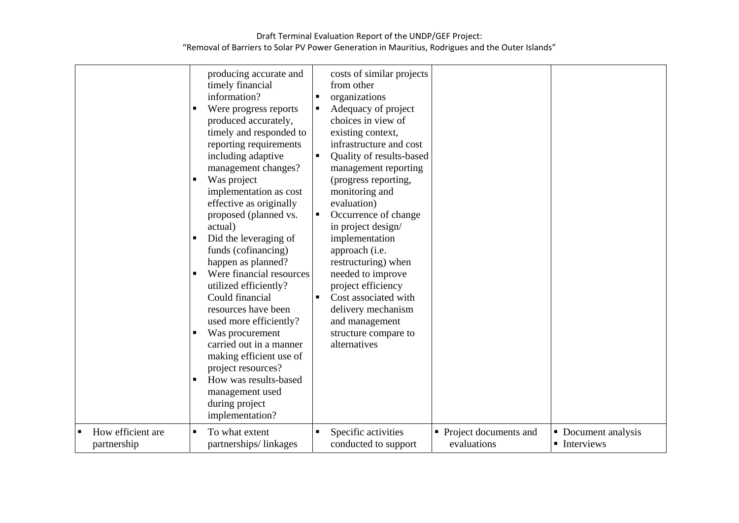|                                  | producing accurate and<br>timely financial<br>information?<br>Were progress reports<br>produced accurately,<br>timely and responded to<br>reporting requirements<br>including adaptive<br>management changes?<br>Was project<br>$\blacksquare$<br>implementation as cost<br>effective as originally<br>proposed (planned vs.<br>actual)<br>Did the leveraging of<br>funds (cofinancing)<br>happen as planned?<br>Were financial resources<br>utilized efficiently?<br>Could financial<br>resources have been<br>used more efficiently?<br>Was procurement<br>carried out in a manner<br>making efficient use of<br>project resources?<br>How was results-based<br>management used<br>during project<br>implementation? | costs of similar projects<br>from other<br>organizations<br>п<br>Adequacy of project<br>choices in view of<br>existing context,<br>infrastructure and cost<br>Quality of results-based<br>management reporting<br>(progress reporting,<br>monitoring and<br>evaluation)<br>Occurrence of change<br>٠<br>in project design/<br>implementation<br>approach (i.e.<br>restructuring) when<br>needed to improve<br>project efficiency<br>Cost associated with<br>delivery mechanism<br>and management<br>structure compare to<br>alternatives |                                        |                                     |
|----------------------------------|------------------------------------------------------------------------------------------------------------------------------------------------------------------------------------------------------------------------------------------------------------------------------------------------------------------------------------------------------------------------------------------------------------------------------------------------------------------------------------------------------------------------------------------------------------------------------------------------------------------------------------------------------------------------------------------------------------------------|------------------------------------------------------------------------------------------------------------------------------------------------------------------------------------------------------------------------------------------------------------------------------------------------------------------------------------------------------------------------------------------------------------------------------------------------------------------------------------------------------------------------------------------|----------------------------------------|-------------------------------------|
| How efficient are<br>partnership | To what extent<br>٠<br>partnerships/linkages                                                                                                                                                                                                                                                                                                                                                                                                                                                                                                                                                                                                                                                                           | Specific activities<br>conducted to support                                                                                                                                                                                                                                                                                                                                                                                                                                                                                              | • Project documents and<br>evaluations | • Document analysis<br>• Interviews |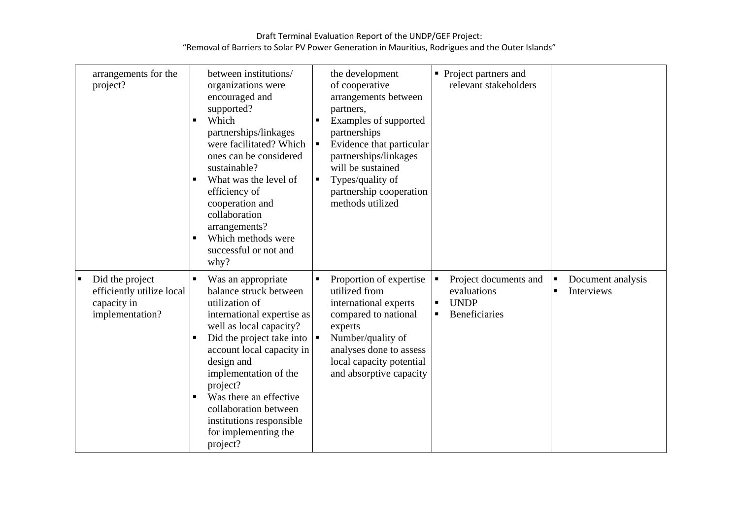| arrangements for the<br>project?                                               | between institutions/<br>organizations were<br>encouraged and<br>supported?<br>Which<br>partnerships/linkages<br>were facilitated? Which<br>ones can be considered<br>sustainable?<br>What was the level of<br>п<br>efficiency of<br>cooperation and<br>collaboration<br>arrangements?<br>Which methods were<br>п<br>successful or not and<br>why?                                                                     | the development<br>of cooperative<br>arrangements between<br>partners,<br>Examples of supported<br>partnerships<br>Evidence that particular<br>partnerships/linkages<br>will be sustained<br>Types/quality of<br>п<br>partnership cooperation<br>methods utilized | • Project partners and<br>relevant stakeholders                                                                 |                                                          |
|--------------------------------------------------------------------------------|------------------------------------------------------------------------------------------------------------------------------------------------------------------------------------------------------------------------------------------------------------------------------------------------------------------------------------------------------------------------------------------------------------------------|-------------------------------------------------------------------------------------------------------------------------------------------------------------------------------------------------------------------------------------------------------------------|-----------------------------------------------------------------------------------------------------------------|----------------------------------------------------------|
| Did the project<br>efficiently utilize local<br>capacity in<br>implementation? | Was an appropriate<br>$\blacksquare$<br>balance struck between<br>utilization of<br>international expertise as<br>well as local capacity?<br>Did the project take into $\vert \bullet \vert$<br>$\blacksquare$<br>account local capacity in<br>design and<br>implementation of the<br>project?<br>Was there an effective<br>п<br>collaboration between<br>institutions responsible<br>for implementing the<br>project? | Proportion of expertise<br>utilized from<br>international experts<br>compared to national<br>experts<br>Number/quality of<br>analyses done to assess<br>local capacity potential<br>and absorptive capacity                                                       | Project documents and<br>evaluations<br><b>UNDP</b><br>$\blacksquare$<br><b>Beneficiaries</b><br>$\blacksquare$ | Document analysis<br><b>Interviews</b><br>$\blacksquare$ |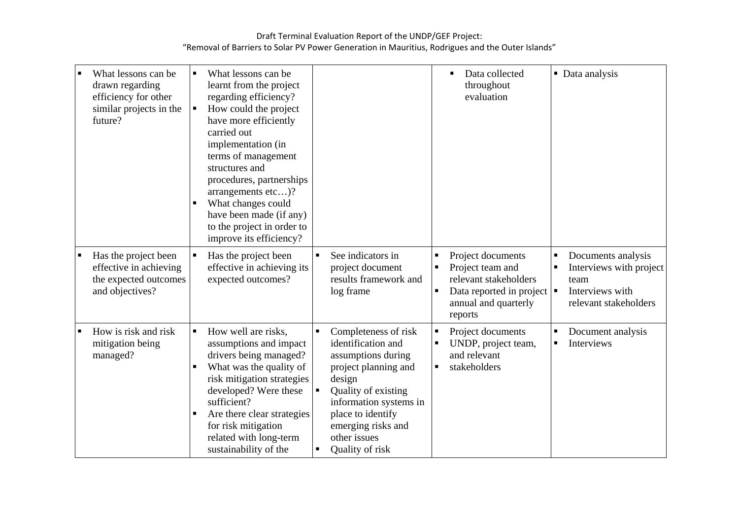| What lessons can be<br>drawn regarding<br>efficiency for other<br>similar projects in the<br>future? | $\blacksquare$<br>п              | What lessons can be<br>learnt from the project<br>regarding efficiency?<br>How could the project<br>have more efficiently<br>carried out<br>implementation (in<br>terms of management<br>structures and<br>procedures, partnerships<br>arrangements etc)?<br>What changes could<br>have been made (if any)<br>to the project in order to<br>improve its efficiency? |                |                                                                                                                                                                                                                                   |   | Data collected<br>п<br>throughout<br>evaluation                                                                                                     |                     | • Data analysis                                                                                   |
|------------------------------------------------------------------------------------------------------|----------------------------------|---------------------------------------------------------------------------------------------------------------------------------------------------------------------------------------------------------------------------------------------------------------------------------------------------------------------------------------------------------------------|----------------|-----------------------------------------------------------------------------------------------------------------------------------------------------------------------------------------------------------------------------------|---|-----------------------------------------------------------------------------------------------------------------------------------------------------|---------------------|---------------------------------------------------------------------------------------------------|
| Has the project been<br>effective in achieving<br>the expected outcomes<br>and objectives?           | $\blacksquare$                   | Has the project been<br>effective in achieving its<br>expected outcomes?                                                                                                                                                                                                                                                                                            |                | See indicators in<br>project document<br>results framework and<br>log frame                                                                                                                                                       |   | Project documents<br>Project team and<br>relevant stakeholders<br>Data reported in project $\vert \bullet \vert$<br>annual and quarterly<br>reports | $\blacksquare$<br>Е | Documents analysis<br>Interviews with project<br>team<br>Interviews with<br>relevant stakeholders |
| How is risk and risk<br>mitigation being<br>managed?                                                 | $\blacksquare$<br>$\blacksquare$ | How well are risks,<br>assumptions and impact<br>drivers being managed?<br>What was the quality of<br>risk mitigation strategies<br>developed? Were these<br>sufficient?<br>Are there clear strategies<br>for risk mitigation<br>related with long-term<br>sustainability of the                                                                                    | $\blacksquare$ | Completeness of risk<br>identification and<br>assumptions during<br>project planning and<br>design<br>Quality of existing<br>information systems in<br>place to identify<br>emerging risks and<br>other issues<br>Quality of risk | п | Project documents<br>UNDP, project team,<br>and relevant<br>stakeholders                                                                            | п<br>$\blacksquare$ | Document analysis<br>Interviews                                                                   |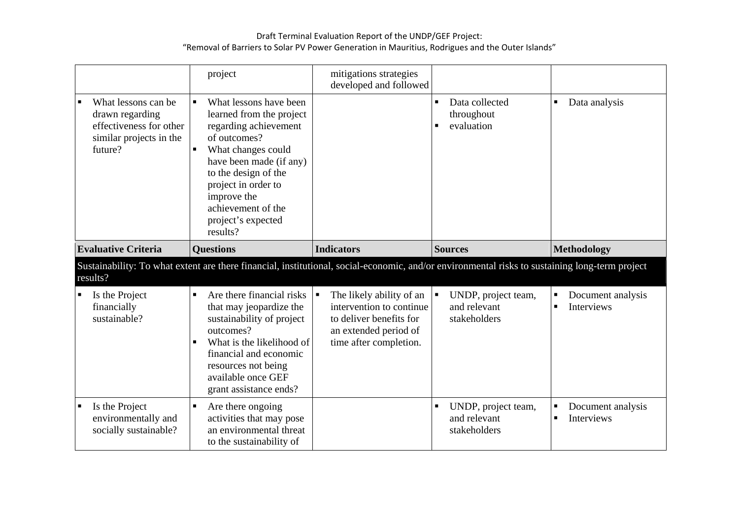|                                                                                                                                                | project                                                                                                                                                                                                                                                                              | mitigations strategies<br>developed and followed                                                                                   |                                                              |                                                               |  |  |  |
|------------------------------------------------------------------------------------------------------------------------------------------------|--------------------------------------------------------------------------------------------------------------------------------------------------------------------------------------------------------------------------------------------------------------------------------------|------------------------------------------------------------------------------------------------------------------------------------|--------------------------------------------------------------|---------------------------------------------------------------|--|--|--|
| What lessons can be<br>drawn regarding<br>effectiveness for other<br>similar projects in the<br>future?                                        | What lessons have been<br>$\blacksquare$<br>learned from the project<br>regarding achievement<br>of outcomes?<br>What changes could<br>have been made (if any)<br>to the design of the<br>project in order to<br>improve the<br>achievement of the<br>project's expected<br>results? |                                                                                                                                    | Data collected<br>$\blacksquare$<br>throughout<br>evaluation | Data analysis                                                 |  |  |  |
| <b>Evaluative Criteria</b>                                                                                                                     | <b>Questions</b>                                                                                                                                                                                                                                                                     | <b>Indicators</b>                                                                                                                  | <b>Sources</b>                                               | <b>Methodology</b>                                            |  |  |  |
| Sustainability: To what extent are there financial, institutional, social-economic, and/or environmental risks to sustaining long-term project |                                                                                                                                                                                                                                                                                      |                                                                                                                                    |                                                              |                                                               |  |  |  |
| results?                                                                                                                                       |                                                                                                                                                                                                                                                                                      |                                                                                                                                    |                                                              |                                                               |  |  |  |
| Is the Project<br>financially<br>sustainable?                                                                                                  | Are there financial risks<br>that may jeopardize the<br>sustainability of project<br>outcomes?<br>What is the likelihood of<br>financial and economic<br>resources not being<br>available once GEF<br>grant assistance ends?                                                         | The likely ability of an<br>intervention to continue<br>to deliver benefits for<br>an extended period of<br>time after completion. | UNDP, project team,<br>and relevant<br>stakeholders          | Document analysis<br>п<br><b>Interviews</b><br>$\blacksquare$ |  |  |  |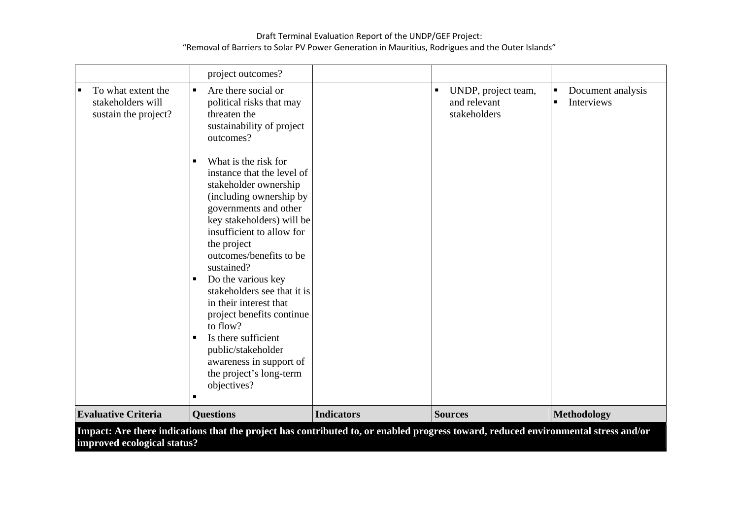|                                                                 | project outcomes?                                                                                                                                                                                                                                                                                                                                                                                                                                                                                                       |                   |                                                                       |                                                                     |
|-----------------------------------------------------------------|-------------------------------------------------------------------------------------------------------------------------------------------------------------------------------------------------------------------------------------------------------------------------------------------------------------------------------------------------------------------------------------------------------------------------------------------------------------------------------------------------------------------------|-------------------|-----------------------------------------------------------------------|---------------------------------------------------------------------|
| To what extent the<br>stakeholders will<br>sustain the project? | $\blacksquare$<br>Are there social or<br>political risks that may<br>threaten the<br>sustainability of project<br>outcomes?                                                                                                                                                                                                                                                                                                                                                                                             |                   | UNDP, project team,<br>$\blacksquare$<br>and relevant<br>stakeholders | Document analysis<br>$\blacksquare$<br>Interviews<br>$\blacksquare$ |
|                                                                 | What is the risk for<br>п<br>instance that the level of<br>stakeholder ownership<br>(including ownership by<br>governments and other<br>key stakeholders) will be<br>insufficient to allow for<br>the project<br>outcomes/benefits to be<br>sustained?<br>Do the various key<br>٠<br>stakeholders see that it is<br>in their interest that<br>project benefits continue<br>to flow?<br>Is there sufficient<br>$\blacksquare$<br>public/stakeholder<br>awareness in support of<br>the project's long-term<br>objectives? |                   |                                                                       |                                                                     |
| <b>Evaluative Criteria</b>                                      | <b>Questions</b>                                                                                                                                                                                                                                                                                                                                                                                                                                                                                                        | <b>Indicators</b> | <b>Sources</b>                                                        | <b>Methodology</b>                                                  |